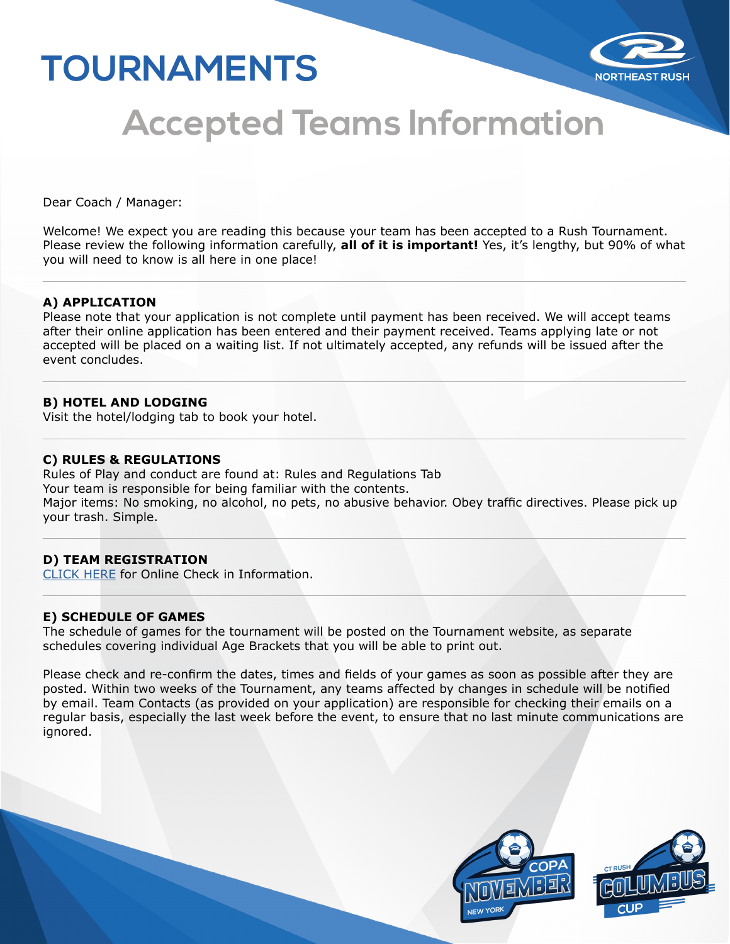# **TOURNAMENTS**



# **Accepted Teams Information**

Dear Coach / Manager:

Welcome! We expect you are reading this because your team has been accepted to a Rush Tournament. Please review the following information carefully, **all of it is important!** Yes, it's lengthy, but 90% of what you will need to know is all here in one place!

### **A) APPLICATION**

Please note that your application is not complete until payment has been received. We will accept teams after their online application has been entered and their payment received. Teams applying late or not accepted will be placed on a waiting list. If not ultimately accepted, any refunds will be issued after the event concludes.

## **B) HOTEL AND LODGING**

Visit the hotel/lodging tab to book your hotel.

### **C) RULES & REGULATIONS**

Rules of Play and conduct are found at: Rules and Regulations Tab Your team is responsible for being familiar with the contents. Major items: No smoking, no alcohol, no pets, no abusive behavior. Obey traffic directives. Please pick up your trash. Simple.

## **D) TEAM REGISTRATION**

[CLICK HERE](https://www.northeastrush.com/wp-content/uploads/2021/06/NortheastRush_OnlineCheckIn.pdf) for Online Check in Information.

#### **E) SCHEDULE OF GAMES**

The schedule of games for the tournament will be posted on the Tournament website, as separate schedules covering individual Age Brackets that you will be able to print out.

Please check and re-confirm the dates, times and fields of your games as soon as possible after they are posted. Within two weeks of the Tournament, any teams affected by changes in schedule will be notified by email. Team Contacts (as provided on your application) are responsible for checking their emails on a regular basis, especially the last week before the event, to ensure that no last minute communications are ignored.